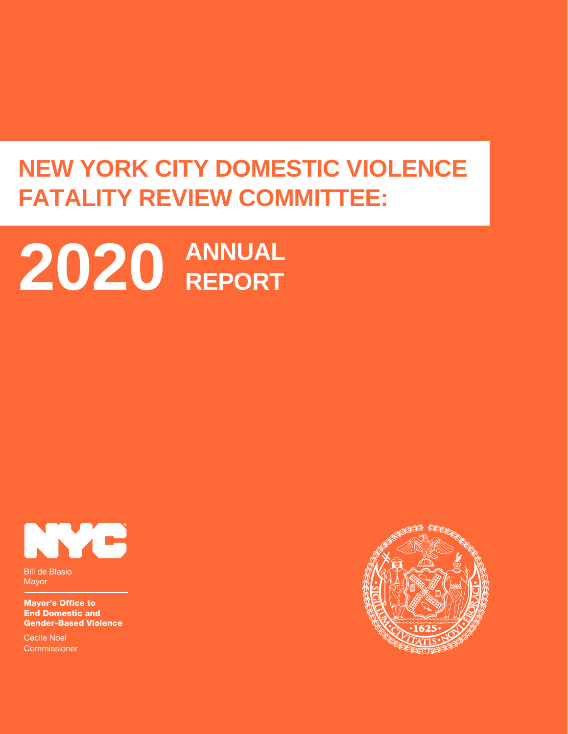## **NEW YORK CITY DOMESTIC VIOLENCE FATALITY REVIEW COMMITTEE:**

# **ANNUAL 2020 REPORT**



Bill de Blasio Mayor

Mayor's Office to End Domestic and Gender-Based Violence

Cecile Noel **Commissioner** 

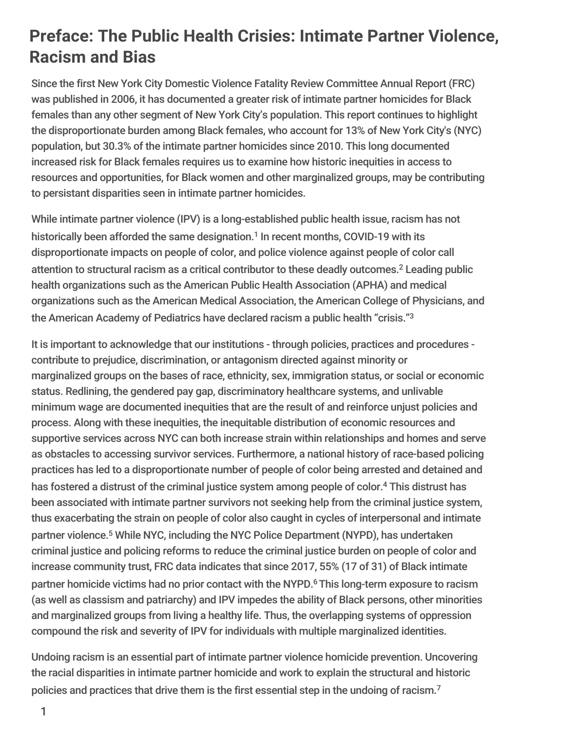## **Preface: The Public Health Crisies: Intimate Partner Violence, Racism and Bias**

Since the first New York City Domestic Violence Fatality Review Committee Annual Report (FRC) was published in 2006, it has documented a greater risk of intimate partner homicides for Black females than any other segment of New York City's population. This report continues to highlight the disproportionate burden among Black females, who account for 13% of New York City's (NYC) population, but 30.3% of the intimate partner homicides since 2010. This long documented increased risk for Black females requires us to examine how historic inequities in access to resources and opportunities, for Black women and other marginalized groups, may be contributing to persistant disparities seen in intimate partner homicides.

While intimate partner violence (IPV) is a long-established public health issue, racism has not historically been afforded the same designation.<sup>1</sup> In recent months, COVID-19 with its disproportionate impacts on people of color, and police violence against people of color call attention to structural racism as a critical contributor to these deadly outcomes. <sup>2</sup> Leading public health organizations such as the American Public Health Association (APHA) and medical organizations such as the American Medical Association, the American College of Physicians, and the American Academy of Pediatrics have declared racism a public health "crisis." 3

It is important to acknowledge that our institutions - through policies, practices and procedures contribute to prejudice, discrimination, or antagonism directed against minority or marginalized groups on the bases of race, ethnicity, sex, immigration status, or social or economic status. Redlining, the gendered pay gap, discriminatory healthcare systems, and unlivable minimum wage are documented inequities that are the result of and reinforce unjust policies and process. Along with these inequities, the inequitable distribution of economic resources and supportive services across NYC can both increase strain within relationships and homes and serve as obstacles to accessing survivor services. Furthermore, a national history of race-based policing practices has led to a disproportionate number of people of color being arrested and detained and has fostered a distrust of the criminal justice system among people of color. <sup>4</sup> This distrust has been associated with intimate partner survivors not seeking help from the criminal justice system, thus exacerbating the strain on people of color also caught in cycles of interpersonal and intimate partner violence. <sup>5</sup> While NYC, including the NYC Police Department (NYPD), has undertaken criminal justice and policing reforms to reduce the criminal justice burden on people of color and increase community trust, FRC data indicates that since 2017, 55% (17 of 31) of Black intimate partner homicide victims had no prior contact with the NYPD.<sup>6</sup> This long-term exposure to racism (as well as classism and patriarchy) and IPV impedes the ability of Black persons, other minorities and marginalized groups from living a healthy life. Thus, the overlapping systems of oppression compound the risk and severity of IPV for individuals with multiple marginalized identities.

Undoing racism is an essential part of intimate partner violence homicide prevention. Uncovering the racial disparities in intimate partner homicide and work to explain the structural and historic policies and practices that drive them is the first essential step in the undoing of racism.<sup>7</sup>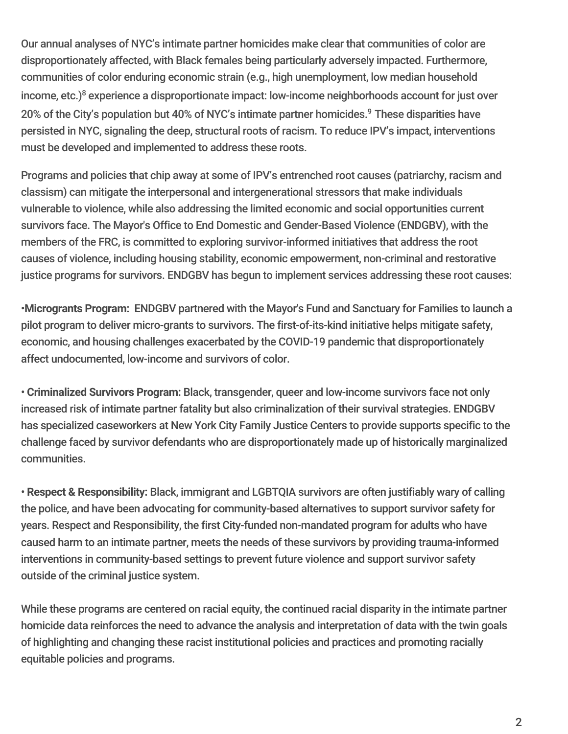Our annual analyses of NYC's intimate partner homicides make clear that communities of color are disproportionately affected, with Black females being particularly adversely impacted. Furthermore, communities of color enduring economic strain (e.g., high unemployment, low median household income, etc.) <sup>8</sup> experience a disproportionate impact: low-income neighborhoods account for just over 20% of the City's population but 40% of NYC's intimate partner homicides. <sup>9</sup> These disparities have persisted in NYC, signaling the deep, structural roots of racism. To reduce IPV's impact, interventions must be developed and implemented to address these roots.

Programs and policies that chip away at some of IPV's entrenched root causes (patriarchy, racism and classism) can mitigate the interpersonal and intergenerational stressors that make individuals vulnerable to violence, while also addressing the limited economic and social opportunities current survivors face. The Mayor's Office to End Domestic and Gender-Based Violence (ENDGBV), with the members of the FRC, is committed to exploring survivor-informed initiatives that address the root causes of violence, including housing stability, economic empowerment, non-criminal and restorative justice programs for survivors. ENDGBV has begun to implement services addressing these root causes:

•**Microgrants Program:** ENDGBV partnered with the Mayor's Fund and Sanctuary for Families to launch a pilot program to deliver micro-grants to survivors. The first-of-its-kind initiative helps mitigate safety, economic, and housing challenges exacerbated by the COVID-19 pandemic that disproportionately affect undocumented, low-income and survivors of color.

• **Criminalized Survivors Program:** Black, transgender, queer and low-income survivors face not only increased risk of intimate partner fatality but also criminalization of their survival strategies. ENDGBV has specialized caseworkers at New York City Family Justice Centers to provide supports specific to the challenge faced by survivor defendants who are disproportionately made up of historically marginalized communities.

• **Respect & Responsibility:** Black, immigrant and LGBTQIA survivors are often justifiably wary of calling the police, and have been advocating for community-based alternatives to support survivor safety for years. Respect and Responsibility, the first City-funded non-mandated program for adults who have caused harm to an intimate partner, meets the needs of these survivors by providing trauma-informed interventions in community-based settings to prevent future violence and support survivor safety outside of the criminal justice system.

While these programs are centered on racial equity, the continued racial disparity in the intimate partner homicide data reinforces the need to advance the analysis and interpretation of data with the twin goals of highlighting and changing these racist institutional policies and practices and promoting racially equitable policies and programs.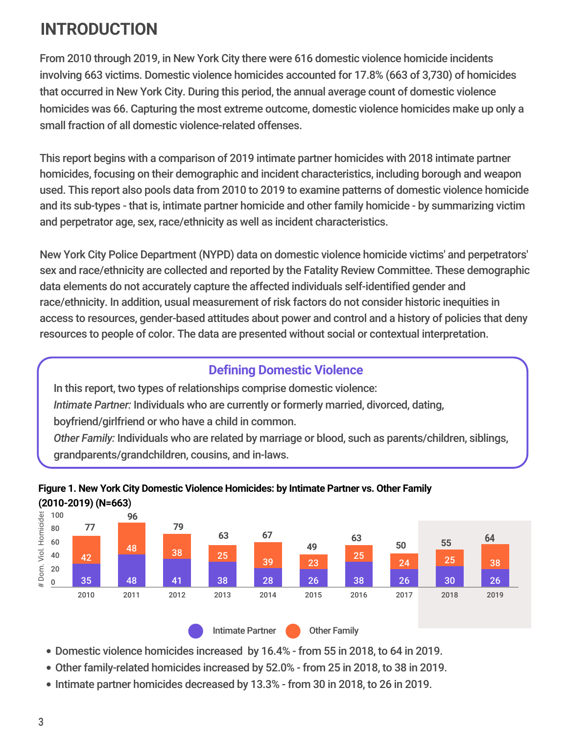## **INTRODUCTION**

From 2010 through 2019, in New York City there were 616 domestic violence homicide incidents involving 663 victims. Domestic violence homicides accounted for 17.8% (663 of 3,730) of homicides that occurred in New York City. During this period, the annual average count of domestic violence homicides was 66. Capturing the most extreme outcome, domestic violence homicides make up only a small fraction of all domestic violence-related offenses.

This report begins with a comparison of 2019 intimate partner homicides with 2018 intimate partner homicides, focusing on their demographic and incident characteristics, including borough and weapon used. This report also pools data from 2010 to 2019 to examine patterns of domestic violence homicide and its sub-types - that is, intimate partner homicide and other family homicide - by summarizing victim and perpetrator age, sex, race/ethnicity as well as incident characteristics.

New York City Police Department (NYPD) data on domestic violence homicide victims' and perpetrators' sex and race/ethnicity are collected and reported by the Fatality Review Committee. These demographic data elements do not accurately capture the affected individuals self-identified gender and race/ethnicity. In addition, usual measurement of risk factors do not consider historic inequities in access to resources, gender-based attitudes about power and control and a history of policies that deny resources to people of color. The data are presented without social or contextual interpretation.

#### **Defining Domestic Violence**

In this report, two types of relationships comprise domestic violence: *Intimate Partner:* Individuals who are currently or formerly married, divorced, dating, boyfriend/girlfriend or who have a child in common. *Other Family:* Individuals who are related by marriage or blood, such as parents/children, siblings, grandparents/grandchildren, cousins, and in-laws.



#### **Figure 1. New York City Domestic Violence Homicides: by Intimate Partner vs. Other Family (2010-2019) (N=663**)

- Domestic violence homicides increased by 16.4% from 55 in 2018, to 64 in 2019.
- Other family-related homicides increased by 52.0% from 25 in 2018, to 38 in 2019.
- Intimate partner homicides decreased by 13.3% from 30 in 2018, to 26 in 2019.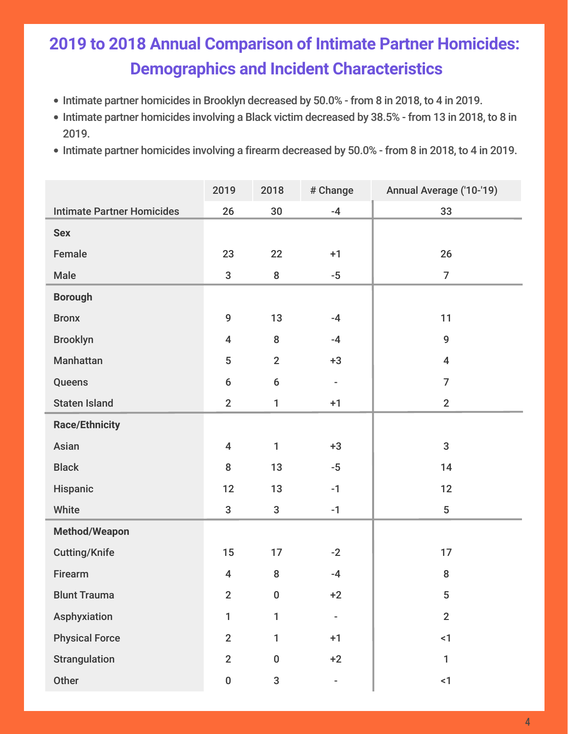## **2019 to 2018 Annual Comparison of Intimate Partner Homicides: Demographics and Incident Characteristics**

- Intimate partner homicides in Brooklyn decreased by 50.0% from 8 in 2018, to 4 in 2019.
- Intimate partner homicides involving a Black victim decreased by 38.5% from 13 in 2018, to 8 in 2019.
- Intimate partner homicides involving a firearm decreased by 50.0% from 8 in 2018, to 4 in 2019.

|                                   | 2019                    | 2018           | # Change                 | Annual Average ('10-'19) |
|-----------------------------------|-------------------------|----------------|--------------------------|--------------------------|
| <b>Intimate Partner Homicides</b> | 26                      | 30             | $-4$                     | 33                       |
| <b>Sex</b>                        |                         |                |                          |                          |
| Female                            | 23                      | 22             | $+1$                     | 26                       |
| Male                              | $\mathbf{3}$            | 8              | $-5$                     | $\overline{7}$           |
| <b>Borough</b>                    |                         |                |                          |                          |
| <b>Bronx</b>                      | $\boldsymbol{9}$        | 13             | $-4$                     | 11                       |
| <b>Brooklyn</b>                   | $\overline{\mathbf{4}}$ | 8              | $-4$                     | 9                        |
| Manhattan                         | 5                       | $\overline{2}$ | $+3$                     | $\overline{\mathbf{4}}$  |
| Queens                            | $6\,$                   | $6\,$          | $\overline{\phantom{a}}$ | $\overline{7}$           |
| <b>Staten Island</b>              | $\overline{2}$          | $\mathbf{1}$   | $+1$                     | $\overline{2}$           |
| <b>Race/Ethnicity</b>             |                         |                |                          |                          |
| Asian                             | $\overline{\mathbf{4}}$ | $\mathbf{1}$   | $+3$                     | 3                        |
| <b>Black</b>                      | ${\bf 8}$               | 13             | $-5$                     | 14                       |
| Hispanic                          | 12                      | 13             | $-1$                     | 12                       |
| White                             | $\mathbf{3}$            | $\mathbf{3}$   | $-1$                     | 5                        |
| <b>Method/Weapon</b>              |                         |                |                          |                          |
| <b>Cutting/Knife</b>              | 15                      | 17             | $-2$                     | 17                       |
| Firearm                           | $\overline{\mathbf{4}}$ | 8              | $-4$                     | 8                        |
| <b>Blunt Trauma</b>               | $\overline{2}$          | $\Omega$       | $+2$                     | 5                        |
| Asphyxiation                      | $\mathbf{1}$            | 1              | $\overline{\phantom{m}}$ | $\overline{2}$           |
| <b>Physical Force</b>             | $\overline{2}$          | 1              | $+1$                     | $\leq$ 1                 |
| <b>Strangulation</b>              | $\overline{2}$          | $\pmb{0}$      | $+2$                     | 1                        |
| Other                             | $\pmb{0}$               | 3              |                          | $\leq$ 1                 |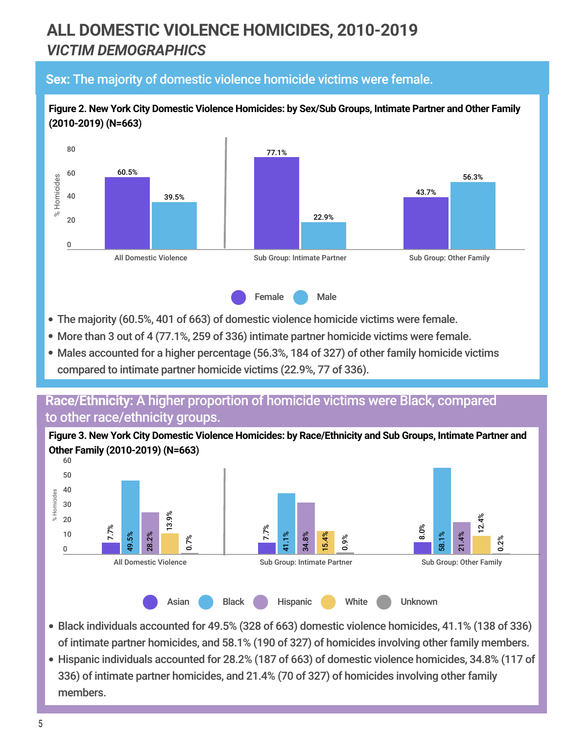## **ALL DOMESTIC VIOLENCE HOMICIDES, 2010-2019** *VICTIM DEMOGRAPHICS*

#### **Sex:** The majority of domestic violence homicide victims were female.



**Figure 2. New York City Domestic Violence Homicides: by Sex/Sub Groups, Intimate Partner and Other Family**

- The majority (60.5%, 401 of 663) of domestic violence homicide victims were female.
- More than 3 out of 4 (77.1%, 259 of 336) intimate partner homicide victims were female.
- Males accounted for a higher percentage (56.3%, 184 of 327) of other family homicide victims compared to intimate partner homicide victims (22.9%, 77 of 336).

#### **Race/Ethnicity:** A higher proportion of homicide victims were Black, compared to other race/ethnicity groups.

**Figure 3. New York City Domestic Violence Homicides: by Race/Ethnicity and Sub Groups, Intimate Partner and Other Family (2010-2019) (N=663**)



- Black individuals accounted for 49.5% (328 of 663) domestic violence homicides, 41.1% (138 of 336) of intimate partner homicides, and 58.1% (190 of 327) of homicides involving other family members.
- Hispanic individuals accounted for 28.2% (187 of 663) of domestic violence homicides, 34.8% (117 of 336) of intimate partner homicides, and 21.4% (70 of 327) of homicides involving other family members.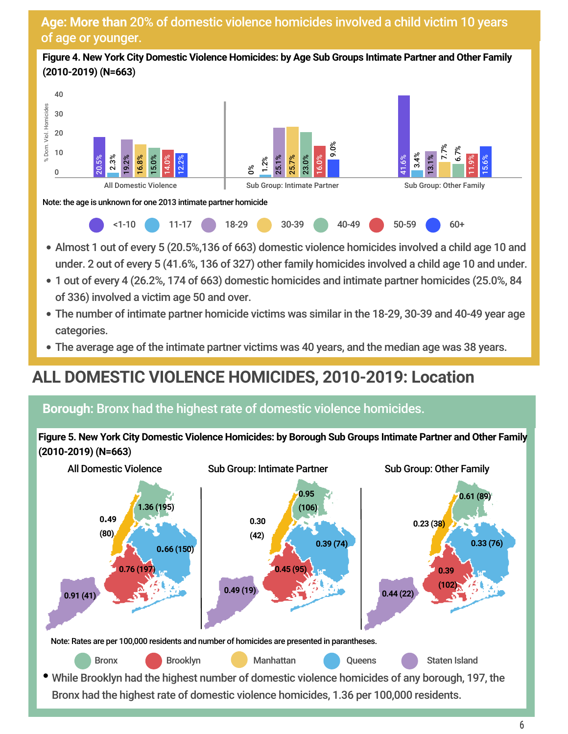#### **Age: More than** 20% of domestic violence homicides involved a child victim 10 years of age or younger.

**Figure 4. New York City Domestic Violence Homicides: by Age Sub Groups Intimate Partner and Other Family (2010-2019) (N=663**)



- Almost 1 out of every 5 (20.5%,136 of 663) domestic violence homicides involved a child age 10 and under. 2 out of every 5 (41.6%, 136 of 327) other family homicides involved a child age 10 and under.
- 1 out of every 4 (26.2%, 174 of 663) domestic homicides and intimate partner homicides (25.0%, 84 of 336) involved a victim age 50 and over.
- The number of intimate partner homicide victims was similar in the 18-29, 30-39 and 40-49 year age categories.
- The average age of the intimate partner victims was 40 years, and the median age was 38 years.

## **ALL DOMESTIC VIOLENCE HOMICIDES, 2010-2019: Location**

#### **Borough:** Bronx had the highest rate of domestic violence homicides.

Figure 5. New York City Domestic Violence Homicides: by Borough Sub Groups Intimate Partner and Other Family **(2010-2019) (N=663**)

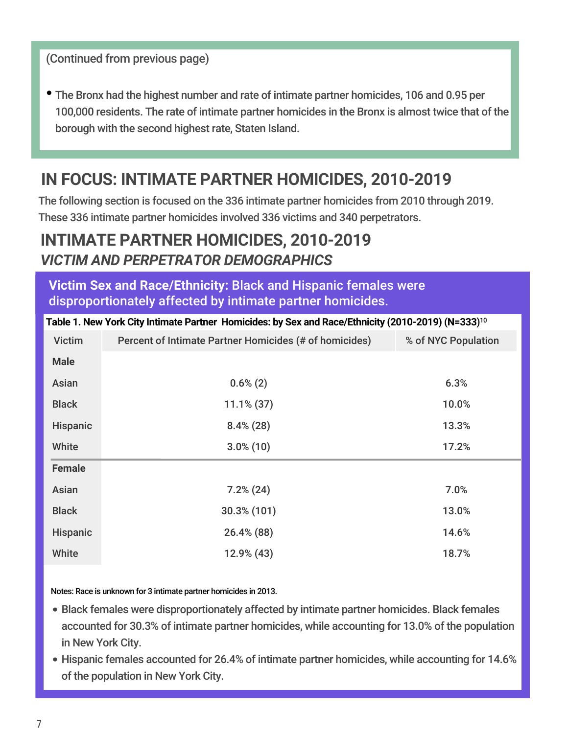(Continued from previous page)

The Bronx had the highest number and rate of intimate partner homicides, 106 and 0.95 per 100,000 residents. The rate of intimate partner homicides in the Bronx is almost twice that of the borough with the second highest rate, Staten Island.

## **IN FOCUS: INTIMATE PARTNER HOMICIDES, 2010-2019**

The following section is focused on the 336 intimate partner homicides from 2010 through 2019. These 336 intimate partner homicides involved 336 victims and 340 perpetrators.

## **INTIMATE PARTNER HOMICIDES, 2010-2019** *VICTIM AND PERPETRATOR DEMOGRAPHICS*

**Victim Sex and Race/Ethnicity:** Black and Hispanic females were disproportionately affected by intimate partner homicides.

| Table 1. New York City Intimate Partner Homicides: by Sex and Race/Ethnicity (2010-2019) (N=333) <sup>10</sup> |                                                        |                     |  |  |
|----------------------------------------------------------------------------------------------------------------|--------------------------------------------------------|---------------------|--|--|
| <b>Victim</b>                                                                                                  | Percent of Intimate Partner Homicides (# of homicides) | % of NYC Population |  |  |
| <b>Male</b>                                                                                                    |                                                        |                     |  |  |
| Asian                                                                                                          | $0.6\%(2)$                                             | 6.3%                |  |  |
| <b>Black</b>                                                                                                   | $11.1\% (37)$                                          | 10.0%               |  |  |
| Hispanic                                                                                                       | $8.4\%(28)$                                            | 13.3%               |  |  |
| White                                                                                                          | $3.0\%$ (10)                                           | 17.2%               |  |  |
| <b>Female</b>                                                                                                  |                                                        |                     |  |  |
| Asian                                                                                                          | $7.2\%$ (24)                                           | 7.0%                |  |  |
| <b>Black</b>                                                                                                   | $30.3\%$ (101)                                         | 13.0%               |  |  |
| <b>Hispanic</b>                                                                                                | 26.4% (88)                                             | 14.6%               |  |  |
| White                                                                                                          | 12.9% (43)                                             | 18.7%               |  |  |

Notes: Race is unknown for 3 intimate partner homicides in 2013.

- Black females were disproportionately affected by intimate partner homicides. Black females accounted for 30.3% of intimate partner homicides, while accounting for 13.0% of the population in New York City.
- Hispanic females accounted for 26.4% of intimate partner homicides, while accounting for 14.6% of the population in New York City.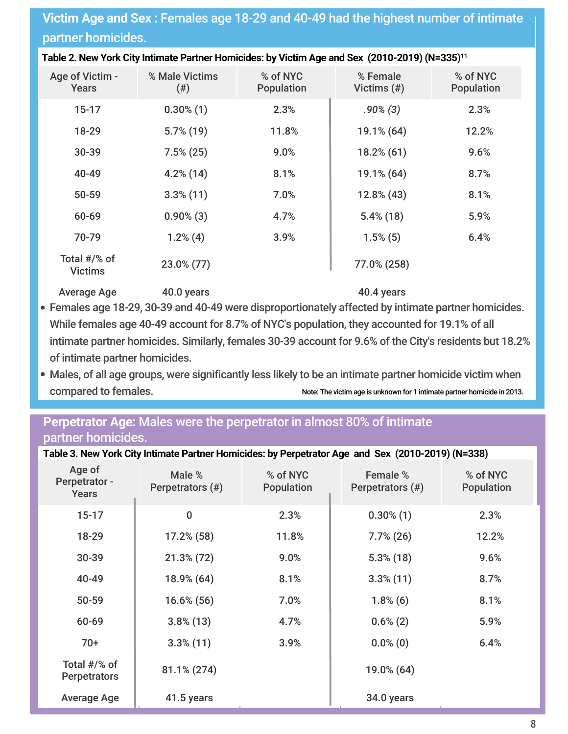#### **Victim Age and Sex :** Females age 18-29 and 40-49 had the highest number of intimate partner homicides.

| Table 2. New York City Intimate Partner Homicides: by Victim Age and Sex (2010-2019) (N=335) <sup>11</sup> |  |
|------------------------------------------------------------------------------------------------------------|--|
|                                                                                                            |  |

| Age of Victim -<br>Years       | % Male Victims<br>(4) | % of NYC<br>Population | % Female<br>Victims $(\#)$ | % of NYC<br>Population |
|--------------------------------|-----------------------|------------------------|----------------------------|------------------------|
| $15 - 17$                      | $0.30\%$ (1)          | 2.3%                   | $.90\%(3)$                 | 2.3%                   |
| 18-29                          | $5.7\%$ (19)          | 11.8%                  | 19.1% (64)                 | 12.2%                  |
| 30-39                          | $7.5\%$ (25)          | 9.0%                   | $18.2\%$ (61)              | 9.6%                   |
| 40-49                          | $4.2\%$ (14)          | 8.1%                   | 19.1% (64)                 | 8.7%                   |
| 50-59                          | $3.3\%$ (11)          | 7.0%                   | 12.8% (43)                 | 8.1%                   |
| 60-69                          | $0.90\%$ (3)          | 4.7%                   | $5.4\%$ (18)               | 5.9%                   |
| 70-79                          | $1.2\%$ (4)           | 3.9%                   | $1.5\%$ (5)                | 6.4%                   |
| Total #/% of<br><b>Victims</b> | 23.0% (77)            |                        | 77.0% (258)                |                        |

Average Age 40.0 years 40.4 years 40.4 years

- I. I. Females age 18-29, 30-39 and 40-49 were disproportionately affected by intimate partner homicides. While females age 40-49 account for 8.7% of NYC's population, they accounted for 19.1% of all intimate partner homicides. Similarly, females 30-39 account for 9.6% of the City's residents but 18.2% of intimate partner homicides.
- Males, of all age groups, were significantly less likely to be an intimate partner homicide victim when compared to females. Note: The victim age is unknown for 1 intimate partner homicide in 2013.

#### **Perpetrator Age:** Males were the perpetrator in almost 80% of intimate partner homicides.

| Age of<br>Perpetrator -<br><b>Years</b> | Male %<br>Perpetrators (#) | % of NYC<br><b>Population</b> | Female %<br>Perpetrators (#) | % of NYC<br><b>Population</b> |
|-----------------------------------------|----------------------------|-------------------------------|------------------------------|-------------------------------|
| $15 - 17$                               | 0                          | 2.3%                          | $0.30\%$ (1)                 | 2.3%                          |
| 18-29                                   | $17.2\%$ (58)              | 11.8%                         | $7.7\%$ (26)                 | 12.2%                         |
| 30-39                                   | $21.3\%$ (72)              | 9.0%                          | $5.3\%$ (18)                 | 9.6%                          |
| 40-49                                   | 18.9% (64)                 | 8.1%                          | $3.3\%$ (11)                 | 8.7%                          |
| 50-59                                   | $16.6\%$ (56)              | 7.0%                          | $1.8\%$ (6)                  | 8.1%                          |
| 60-69                                   | $3.8\%$ (13)               | 4.7%                          | $0.6\%(2)$                   | 5.9%                          |
| $70+$                                   | $3.3\%$ (11)               | 3.9%                          | $0.0\%$ (0)                  | 6.4%                          |
| Total #/% of<br><b>Perpetrators</b>     | 81.1% (274)                |                               | 19.0% (64)                   |                               |
| <b>Average Age</b>                      | 41.5 years                 |                               | 34.0 years                   |                               |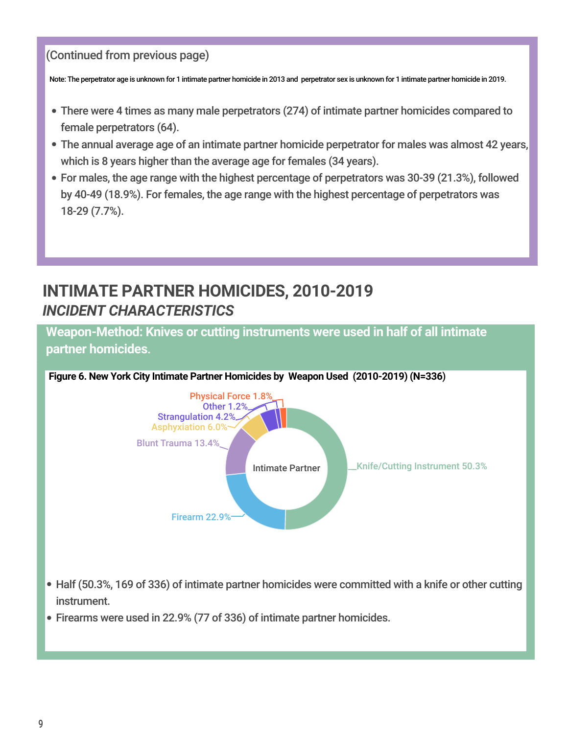#### (Continued from previous page)

Note: The perpetrator age is unknown for 1 intimate partner homicide in 2013 and perpetrator sex is unknown for 1 intimate partner homicide in 2019.

- There were 4 times as many male perpetrators (274) of intimate partner homicides compared to female perpetrators (64).
- The annual average age of an intimate partner homicide perpetrator for males was almost 42 years, which is 8 years higher than the average age for females (34 years).
- For males, the age range with the highest percentage of perpetrators was 30-39 (21.3%), followed by 40-49 (18.9%). For females, the age range with the highest percentage of perpetrators was 18-29 (7.7%).

## **INTIMATE PARTNER HOMICIDES, 2010-2019** *INCIDENT CHARACTERISTICS*

**Weapon-Method: Knives or cutting instruments were used in half of all intimate partner homicides**.



- L L Half (50.3%, 169 of 336) of intimate partner homicides were committed with a knife or other cutting instrument.
- Firearms were used in 22.9% (77 of 336) of intimate partner homicides.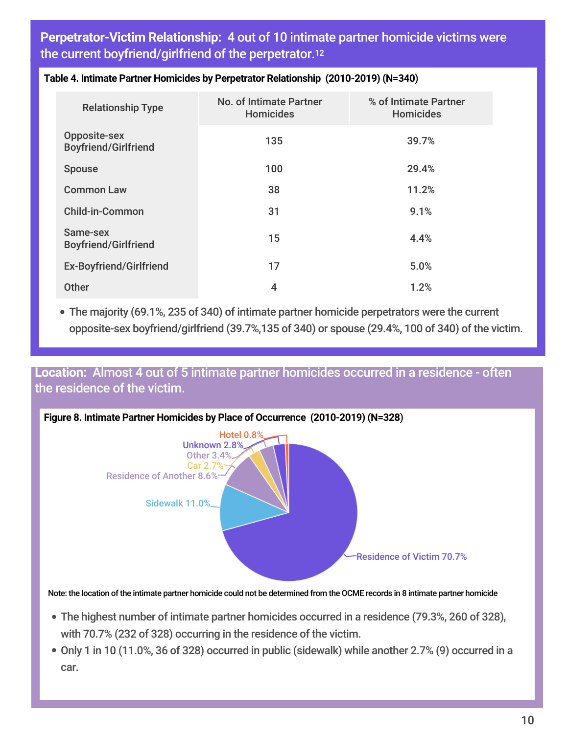**Perpetrator-Victim Relationship:** 4 out of 10 intimate partner homicide victims were the current boyfriend/girlfriend of the perpetrator. 12

| <b>Relationship Type</b>                           | <b>No. of Intimate Partner</b><br><b>Homicides</b> | % of Intimate Partner<br><b>Homicides</b> |
|----------------------------------------------------|----------------------------------------------------|-------------------------------------------|
| <b>Opposite-sex</b><br><b>Boyfriend/Girlfriend</b> | 135                                                | 39.7%                                     |
| <b>Spouse</b>                                      | 100                                                | 29.4%                                     |
| <b>Common Law</b>                                  | 38                                                 | 11.2%                                     |
| <b>Child-in-Common</b>                             | 31                                                 | 9.1%                                      |
| Same-sex<br><b>Boyfriend/Girlfriend</b>            | 15                                                 | 4.4%                                      |
| <b>Ex-Boyfriend/Girlfriend</b>                     | 17                                                 | 5.0%                                      |
| <b>Other</b>                                       | 4                                                  | 1.2%                                      |

#### **Table 4. Intimate Partner Homicides by Perpetrator Relationship (2010-2019) (N=340**)

The majority (69.1%, <sup>235</sup> of 340) of intimate partner homicide perpetrators were the current opposite-sex boyfriend/girlfriend (39.7%,135 of 340) or spouse (29.4%, 100 of 340) of the victim.

#### **Location:** Almost 4 out of 5 intimate partner homicides occurred in a residence - often the residence of the victim.



Note: the location of the intimate partner homicide could not be determined from the OCME records in 8 intimate partner homicide

- The highest number of intimate partner homicides occurred in a residence (79.3%, 260 of 328), with 70.7% (232 of 328) occurring in the residence of the victim.
- Only 1 in 10 (11.0%, 36 of 328) occurred in public (sidewalk) while another 2.7% (9) occurred in a car.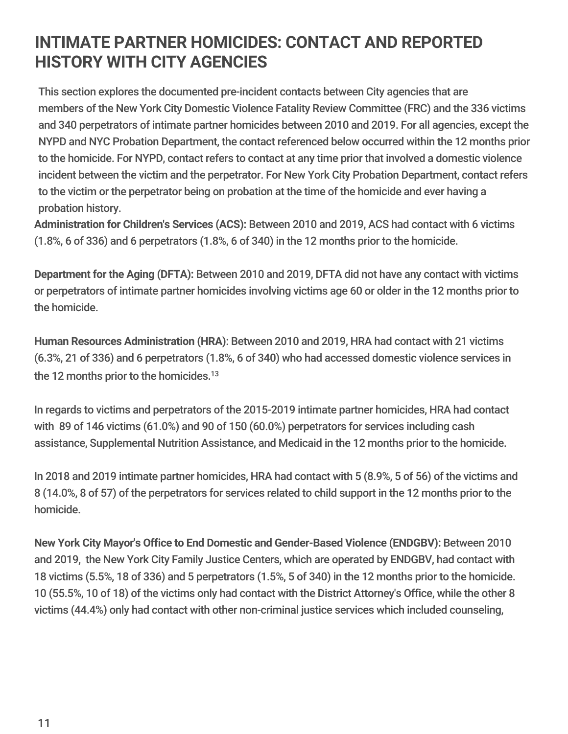## **INTIMATE PARTNER HOMICIDES: CONTACT AND REPORTED HISTORY WITH CITY AGENCIES**

This section explores the documented pre-incident contacts between City agencies that are members of the New York City Domestic Violence Fatality Review Committee (FRC) and the 336 victims and 340 perpetrators of intimate partner homicides between 2010 and 2019. For all agencies, except the NYPD and NYC Probation Department, the contact referenced below occurred within the 12 months prior to the homicide. For NYPD, contact refers to contact at any time prior that involved a domestic violence incident between the victim and the perpetrator. For New York City Probation Department, contact refers to the victim or the perpetrator being on probation at the time of the homicide and ever having a probation history.

**Administration for Children's Services (ACS):** Between 2010 and 2019, ACS had contact with 6 victims (1.8%, 6 of 336) and 6 perpetrators (1.8%, 6 of 340) in the 12 months prior to the homicide.

**Department for the Aging (DFTA):** Between 2010 and 2019, DFTA did not have any contact with victims or perpetrators of intimate partner homicides involving victims age 60 or older in the 12 months prior to the homicide.

**Human Resources Administration (HRA)**: Between 2010 and 2019, HRA had contact with 21 victims (6.3%, 21 of 336) and 6 perpetrators (1.8%, 6 of 340) who had accessed domestic violence services in the 12 months prior to the homicides. $^{13}$ 

In regards to victims and perpetrators of the 2015-2019 intimate partner homicides, HRA had contact with 89 of 146 victims (61.0%) and 90 of 150 (60.0%) perpetrators for services including cash assistance, Supplemental Nutrition Assistance, and Medicaid in the 12 months prior to the homicide.

In 2018 and 2019 intimate partner homicides, HRA had contact with 5 (8.9%, 5 of 56) of the victims and 8 (14.0%, 8 of 57) of the perpetrators for services related to child support in the 12 months prior to the homicide.

**New York City Mayor's Office to End Domestic and Gender-Based Violence (ENDGBV):** Between 2010 and 2019, the New York City Family Justice Centers, which are operated by ENDGBV, had contact with 18 victims (5.5%, 18 of 336) and 5 perpetrators (1.5%, 5 of 340) in the 12 months prior to the homicide. 10 (55.5%, 10 of 18) of the victims only had contact with the District Attorney's Office, while the other 8 victims (44.4%) only had contact with other non-criminal justice services which included counseling,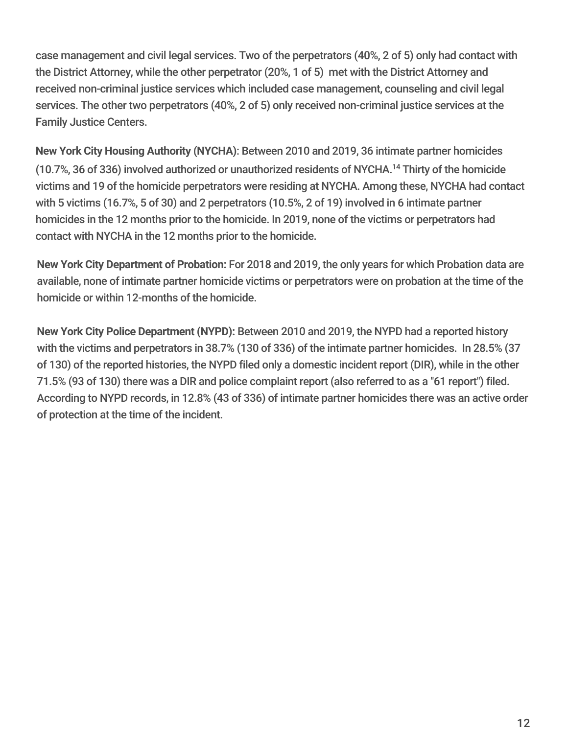case management and civil legal services. Two of the perpetrators (40%, 2 of 5) only had contact with the District Attorney, while the other perpetrator (20%, 1 of 5) met with the District Attorney and received non-criminal justice services which included case management, counseling and civil legal services. The other two perpetrators (40%, 2 of 5) only received non-criminal justice services at the Family Justice Centers.

**New York City Housing Authority (NYCHA)**: Between 2010 and 2019, 36 intimate partner homicides (10.7%, 36 of 336) involved authorized or unauthorized residents of NYCHA. <sup>14</sup> Thirty of the homicide victims and 19 of the homicide perpetrators were residing at NYCHA. Among these, NYCHA had contact with 5 victims (16.7%, 5 of 30) and 2 perpetrators (10.5%, 2 of 19) involved in 6 intimate partner homicides in the 12 months prior to the homicide. In 2019, none of the victims or perpetrators had contact with NYCHA in the 12 months prior to the homicide.

**New York City Department of Probation:** For 2018 and 2019, the only years for which Probation data are available, none of intimate partner homicide victims or perpetrators were on probation at the time of the homicide or within 12-months of the homicide.

**New York City Police Department (NYPD):** Between 2010 and 2019, the NYPD had a reported history with the victims and perpetrators in 38.7% (130 of 336) of the intimate partner homicides. In 28.5% (37 of 130) of the reported histories, the NYPD filed only a domestic incident report (DIR), while in the other 71.5% (93 of 130) there was a DIR and police complaint report (also referred to as a "61 report") filed. According to NYPD records, in 12.8% (43 of 336) of intimate partner homicides there was an active order of protection at the time of the incident.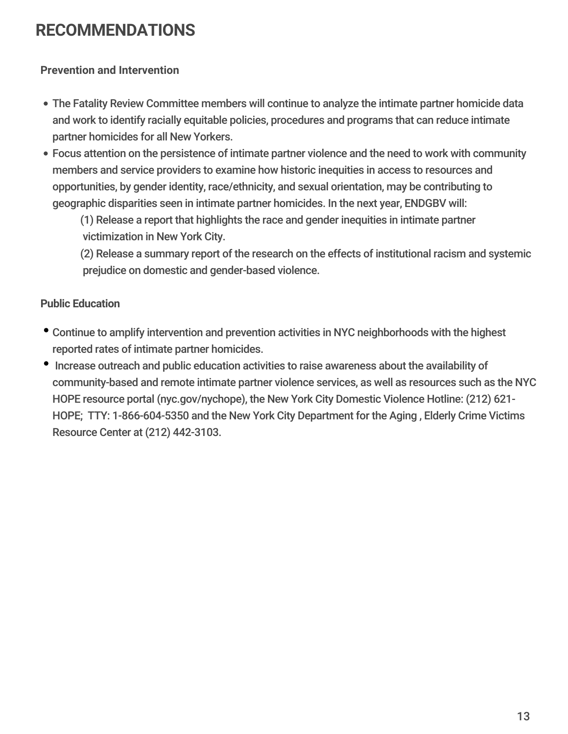## **RECOMMENDATIONS**

#### **Prevention and Intervention**

- The Fatality Review Committee members will continue to analyze the intimate partner homicide data and work to identify racially equitable policies, procedures and programs that can reduce intimate partner homicides for all New Yorkers.
- Focus attention on the persistence of intimate partner violence and the need to work with community members and service providers to examine how historic inequities in access to resources and opportunities, by gender identity, race/ethnicity, and sexual orientation, may be contributing to geographic disparities seen in intimate partner homicides. In the next year, ENDGBV will:

(1) Release a report that highlights the race and gender inequities in intimate partner victimization in New York City.

(2) Release a summary report of the research on the effects of institutional racism and systemic prejudice on domestic and gender-based violence.

#### **Public Education**

- Continue to amplify intervention and prevention activities in NYC neighborhoods with the highest reported rates of intimate partner homicides.
- Increase outreach and public education activities to raise awareness about the availability of community-based and remote intimate partner violence services, as well as resources such as the NYC HOPE resource portal (nyc.gov/nychope), the New York City Domestic Violence Hotline: (212) 621- HOPE; TTY: 1-866-604-5350 and the New York City Department for the Aging , Elderly Crime Victims Resource Center at (212) 442-3103.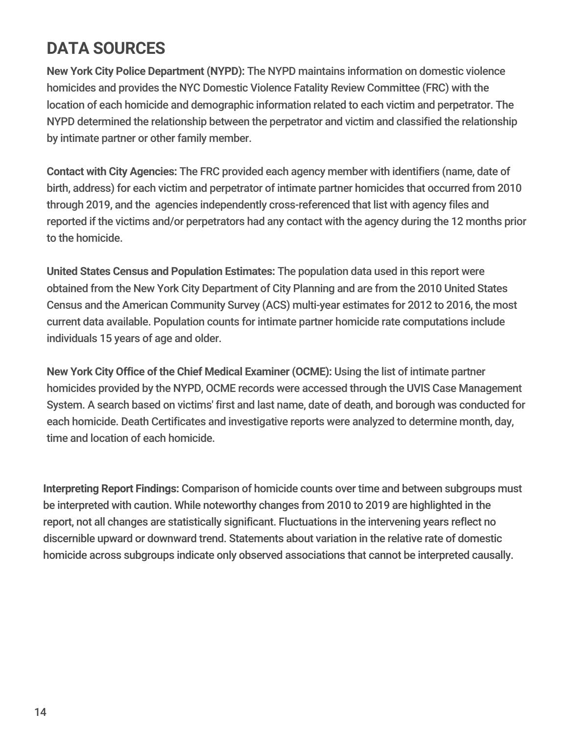## **DATA SOURCES**

**New York City Police Department (NYPD):** The NYPD maintains information on domestic violence homicides and provides the NYC Domestic Violence Fatality Review Committee (FRC) with the location of each homicide and demographic information related to each victim and perpetrator. The NYPD determined the relationship between the perpetrator and victim and classified the relationship by intimate partner or other family member.

**Contact with City Agencies:** The FRC provided each agency member with identifiers (name, date of birth, address) for each victim and perpetrator of intimate partner homicides that occurred from 2010 through 2019, and the agencies independently cross-referenced that list with agency files and reported if the victims and/or perpetrators had any contact with the agency during the 12 months prior to the homicide.

**United States Census and Population Estimates:** The population data used in this report were obtained from the New York City Department of City Planning and are from the 2010 United States Census and the American Community Survey (ACS) multi-year estimates for 2012 to 2016, the most current data available. Population counts for intimate partner homicide rate computations include individuals 15 years of age and older.

**New York City Office of the Chief Medical Examiner (OCME):** Using the list of intimate partner homicides provided by the NYPD, OCME records were accessed through the UVIS Case Management System. A search based on victims' first and last name, date of death, and borough was conducted for each homicide. Death Certificates and investigative reports were analyzed to determine month, day, time and location of each homicide.

**Interpreting Report Findings:** Comparison of homicide counts over time and between subgroups must be interpreted with caution. While noteworthy changes from 2010 to 2019 are highlighted in the report, not all changes are statistically significant. Fluctuations in the intervening years reflect no discernible upward or downward trend. Statements about variation in the relative rate of domestic homicide across subgroups indicate only observed associations that cannot be interpreted causally.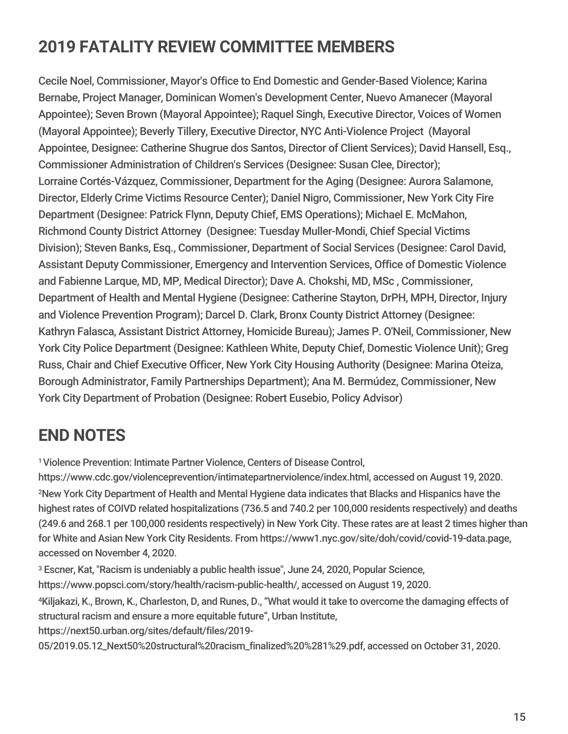## **2019 FATALITY REVIEW COMMITTEE MEMBERS**

Cecile Noel, Commissioner, Mayor's Office to End Domestic and Gender-Based Violence; Karina Bernabe, Project Manager, Dominican Women's Development Center, Nuevo Amanecer (Mayoral Appointee); Seven Brown (Mayoral Appointee); Raquel Singh, Executive Director, Voices of Women (Mayoral Appointee); Beverly Tillery, Executive Director, NYC Anti-Violence Project (Mayoral Appointee, Designee: Catherine Shugrue dos Santos, Director of Client Services); David Hansell, Esq., Commissioner Administration of Children's Services (Designee: Susan Clee, Director); Lorraine Cortés-Vázquez, Commissioner, Department for the Aging (Designee: Aurora Salamone, Director, Elderly Crime Victims Resource Center); Daniel Nigro, Commissioner, New York City Fire Department (Designee: Patrick Flynn, Deputy Chief, EMS Operations); Michael E. McMahon, Richmond County District Attorney (Designee: Tuesday Muller-Mondi, Chief Special Victims Division); Steven Banks, Esq., Commissioner, Department of Social Services (Designee: Carol David, Assistant Deputy Commissioner, Emergency and Intervention Services, Office of Domestic Violence and Fabienne Larque, MD, MP, Medical Director); Dave A. Chokshi, MD, MSc , Commissioner, Department of Health and Mental Hygiene (Designee: Catherine Stayton, DrPH, MPH, Director, Injury and Violence Prevention Program); Darcel D. Clark, Bronx County District Attorney (Designee: Kathryn Falasca, Assistant District Attorney, Homicide Bureau); James P. O'Neil, Commissioner, New York City Police Department (Designee: Kathleen White, Deputy Chief, Domestic Violence Unit); Greg Russ, Chair and Chief Executive Officer, New York City Housing Authority (Designee: Marina Oteiza, Borough Administrator, Family Partnerships Department); Ana M. Bermúdez, Commissioner, New York City Department of Probation (Designee: Robert Eusebio, Policy Advisor)

## **END NOTES**

<sup>1</sup>Violence Prevention: Intimate Partner Violence, Centers of Disease Control,

https://www.cdc.gov/violenceprevention/intimatepartnerviolence/index.html, accessed on August 19, 2020. <sup>2</sup>New York City Department of Health and Mental Hygiene data indicates that Blacks and Hispanics have the highest rates of COIVD related hospitalizations (736.5 and 740.2 per 100,000 residents respectively) and deaths (249.6 and 268.1 per 100,000 residents respectively) in New York City. These rates are at least 2 times higher than for White and Asian New York City Residents. From <https://www1.nyc.gov/site/doh/covid/covid-19-data.page>, accessed on November 4, 2020.

<sup>3</sup> Escner, Kat, "Racism is undeniably a public health issue", June 24, 2020, Popular Science,

https://www.popsci.com/story/health/racism-public-health/, accessed on August 19, 2020.

<sup>4</sup>Kiljakazi, K., Brown, K., Charleston, D, and Runes, D., "What would it take to overcome the damaging effects of structural racism and ensure a more equitable future", Urban Institute,

https://next50.urban.org/sites/default/files/2019-

[05/2019.05.12\\_Next50%20structural%20racism\\_finalized%20%281%29.pdf](https://next50.urban.org/sites/default/files/2019-05/2019.05.12_Next50%20structural%20racism_finalized%20%281%29.pdf), accessed on October 31, 2020.